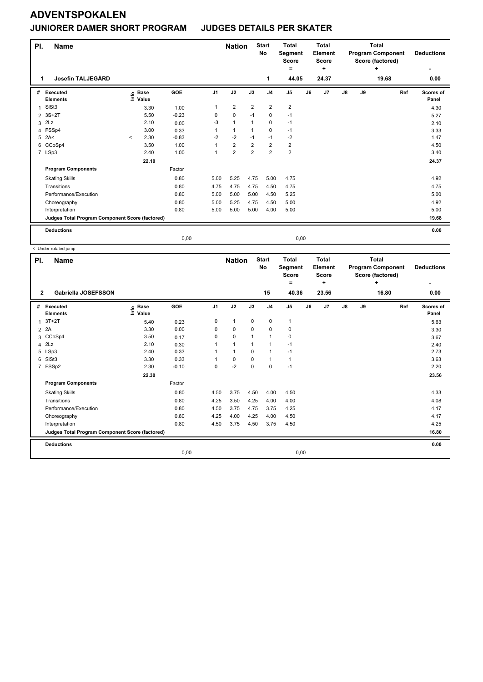### **JUNIORER DAMER SHORT PROGRAM JUDGES DETAILS PER SKATER**

| PI.<br>1.      | <b>Name</b><br><b>Josefin TALJEGÅRD</b>         |         |                            |         | <b>Nation</b>  |                | <b>Start</b><br>No<br>1 | <b>Total</b><br>Segment<br><b>Score</b><br>Ξ.<br>44.05 |                | <b>Total</b><br>Element<br><b>Score</b><br>÷<br>24.37 |    |               | <b>Total</b><br><b>Program Component</b><br>Score (factored)<br>÷<br>19.68 | <b>Deductions</b><br>0.00 |                    |
|----------------|-------------------------------------------------|---------|----------------------------|---------|----------------|----------------|-------------------------|--------------------------------------------------------|----------------|-------------------------------------------------------|----|---------------|----------------------------------------------------------------------------|---------------------------|--------------------|
| #              | Executed<br><b>Elements</b>                     |         | e Base<br>E Value<br>Value | GOE     | J <sub>1</sub> | J2             | J3                      | J <sub>4</sub>                                         | J <sub>5</sub> | J6                                                    | J7 | $\mathsf{J}8$ | J9                                                                         | Ref                       | Scores of<br>Panel |
| $\overline{1}$ | SISt <sub>3</sub>                               |         | 3.30                       | 1.00    | 1              | $\overline{2}$ | $\overline{2}$          | $\overline{2}$                                         | $\overline{2}$ |                                                       |    |               |                                                                            |                           | 4.30               |
| $\overline{2}$ | $3S+2T$                                         |         | 5.50                       | $-0.23$ | 0              | $\mathbf 0$    | $-1$                    | 0                                                      | $-1$           |                                                       |    |               |                                                                            |                           | 5.27               |
| 3              | 2Lz                                             |         | 2.10                       | 0.00    | -3             | $\mathbf{1}$   |                         | $\mathbf 0$                                            | $-1$           |                                                       |    |               |                                                                            |                           | 2.10               |
|                | 4 FSSp4                                         |         | 3.00                       | 0.33    | 1              | $\mathbf{1}$   | 1                       | $\mathbf 0$                                            | $-1$           |                                                       |    |               |                                                                            |                           | 3.33               |
| 5              | 2A<                                             | $\prec$ | 2.30                       | $-0.83$ | $-2$           | $-2$           | $-1$                    | $-1$                                                   | $-2$           |                                                       |    |               |                                                                            |                           | 1.47               |
| 6              | CCoSp4                                          |         | 3.50                       | 1.00    | 1              | $\overline{2}$ | $\overline{2}$          | $\overline{2}$                                         | $\overline{2}$ |                                                       |    |               |                                                                            |                           | 4.50               |
|                | 7 LSp3                                          |         | 2.40                       | 1.00    | 1              | $\overline{2}$ | $\overline{2}$          | $\overline{2}$                                         | $\overline{2}$ |                                                       |    |               |                                                                            |                           | 3.40               |
|                |                                                 |         | 22.10                      |         |                |                |                         |                                                        |                |                                                       |    |               |                                                                            |                           | 24.37              |
|                | <b>Program Components</b>                       |         |                            | Factor  |                |                |                         |                                                        |                |                                                       |    |               |                                                                            |                           |                    |
|                | <b>Skating Skills</b>                           |         |                            | 0.80    | 5.00           | 5.25           | 4.75                    | 5.00                                                   | 4.75           |                                                       |    |               |                                                                            |                           | 4.92               |
|                | Transitions                                     |         |                            | 0.80    | 4.75           | 4.75           | 4.75                    | 4.50                                                   | 4.75           |                                                       |    |               |                                                                            |                           | 4.75               |
|                | Performance/Execution                           |         |                            | 0.80    | 5.00           | 5.00           | 5.00                    | 4.50                                                   | 5.25           |                                                       |    |               |                                                                            |                           | 5.00               |
|                | Choreography                                    |         |                            | 0.80    | 5.00           | 5.25           | 4.75                    | 4.50                                                   | 5.00           |                                                       |    |               |                                                                            |                           | 4.92               |
|                | Interpretation                                  |         |                            | 0.80    | 5.00           | 5.00           | 5.00                    | 4.00                                                   | 5.00           |                                                       |    |               |                                                                            |                           | 5.00               |
|                | Judges Total Program Component Score (factored) |         |                            |         |                |                |                         |                                                        |                |                                                       |    |               |                                                                            |                           | 19.68              |
|                | <b>Deductions</b>                               |         |                            |         |                |                |                         |                                                        |                |                                                       |    |               |                                                                            |                           | 0.00               |
|                |                                                 |         |                            | 0,00    |                |                |                         |                                                        |                | 0,00                                                  |    |               |                                                                            |                           |                    |

| PI.                     | <b>Name</b>                                     |                              |            |                | <b>Nation</b> |                | <b>Start</b><br>No | <b>Total</b><br>Segment<br><b>Score</b><br>٠ |    | <b>Total</b><br>Element<br><b>Score</b><br>٠ |               |    | <b>Total</b><br><b>Program Component</b><br>Score (factored)<br>÷ | <b>Deductions</b><br>٠ |
|-------------------------|-------------------------------------------------|------------------------------|------------|----------------|---------------|----------------|--------------------|----------------------------------------------|----|----------------------------------------------|---------------|----|-------------------------------------------------------------------|------------------------|
| $\mathbf{2}$            | Gabriella JOSEFSSON                             |                              |            |                |               |                | 15                 | 40.36                                        |    | 23.56                                        |               |    | 16.80                                                             | 0.00                   |
| #                       | Executed<br><b>Elements</b>                     | <b>Base</b><br>١nfo<br>Value | <b>GOE</b> | J <sub>1</sub> | J2            | J3             | J <sub>4</sub>     | J <sub>5</sub>                               | J6 | J7                                           | $\mathsf{J}8$ | J9 | Ref                                                               | Scores of<br>Panel     |
| $\overline{1}$          | $3T+2T$                                         | 5.40                         | 0.23       | 0              | $\mathbf{1}$  | $\mathbf 0$    | 0                  | $\mathbf{1}$                                 |    |                                              |               |    |                                                                   | 5.63                   |
| $\overline{2}$          | 2A                                              | 3.30                         | 0.00       | 0              | 0             | 0              | 0                  | 0                                            |    |                                              |               |    |                                                                   | 3.30                   |
| 3                       | CCoSp4                                          | 3.50                         | 0.17       | 0              | 0             | 1              | $\overline{1}$     | 0                                            |    |                                              |               |    |                                                                   | 3.67                   |
| $\overline{\mathbf{4}}$ | 2Lz                                             | 2.10                         | 0.30       | 1              | $\mathbf{1}$  | $\overline{1}$ | $\overline{1}$     | $-1$                                         |    |                                              |               |    |                                                                   | 2.40                   |
| 5                       | LSp3                                            | 2.40                         | 0.33       | $\mathbf 1$    | $\mathbf{1}$  | $\Omega$       | $\overline{1}$     | $-1$                                         |    |                                              |               |    |                                                                   | 2.73                   |
| 6                       | SISt <sub>3</sub>                               | 3.30                         | 0.33       | 1              | 0             | 0              | $\overline{1}$     | $\mathbf{1}$                                 |    |                                              |               |    |                                                                   | 3.63                   |
|                         | 7 FSSp2                                         | 2.30                         | $-0.10$    | 0              | $-2$          | 0              | $\mathbf 0$        | $-1$                                         |    |                                              |               |    |                                                                   | 2.20                   |
|                         |                                                 | 22.30                        |            |                |               |                |                    |                                              |    |                                              |               |    |                                                                   | 23.56                  |
|                         | <b>Program Components</b>                       |                              | Factor     |                |               |                |                    |                                              |    |                                              |               |    |                                                                   |                        |
|                         | <b>Skating Skills</b>                           |                              | 0.80       | 4.50           | 3.75          | 4.50           | 4.00               | 4.50                                         |    |                                              |               |    |                                                                   | 4.33                   |
|                         | Transitions                                     |                              | 0.80       | 4.25           | 3.50          | 4.25           | 4.00               | 4.00                                         |    |                                              |               |    |                                                                   | 4.08                   |
|                         | Performance/Execution                           |                              | 0.80       | 4.50           | 3.75          | 4.75           | 3.75               | 4.25                                         |    |                                              |               |    |                                                                   | 4.17                   |
|                         | Choreography                                    |                              | 0.80       | 4.25           | 4.00          | 4.25           | 4.00               | 4.50                                         |    |                                              |               |    |                                                                   | 4.17                   |
|                         | Interpretation                                  |                              | 0.80       | 4.50           | 3.75          | 4.50           | 3.75               | 4.50                                         |    |                                              |               |    |                                                                   | 4.25                   |
|                         | Judges Total Program Component Score (factored) |                              |            |                |               |                |                    |                                              |    |                                              |               |    |                                                                   | 16.80                  |
|                         | <b>Deductions</b>                               |                              |            |                |               |                |                    |                                              |    |                                              |               |    |                                                                   | 0.00                   |
|                         |                                                 |                              | 0,00       |                |               |                |                    | 0,00                                         |    |                                              |               |    |                                                                   |                        |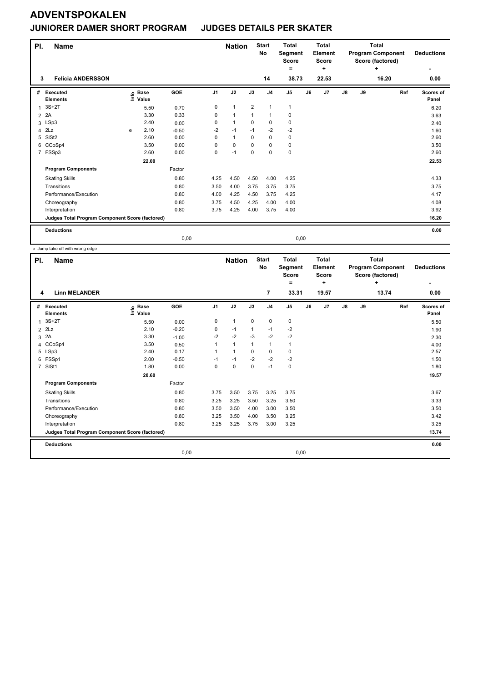### **JUNIORER DAMER SHORT PROGRAM JUDGES DETAILS PER SKATER**

| PI.<br>3       | <b>Name</b><br><b>Felicia ANDERSSON</b>         |      |             |            |                | <b>Nation</b> |                | <b>Start</b><br>No<br>14 | <b>Total</b><br>Segment<br><b>Score</b><br>۰<br>38.73 |      | <b>Total</b><br><b>Element</b><br><b>Score</b><br>÷<br>22.53 |    |    | <b>Total</b><br><b>Program Component</b><br>Score (factored)<br>÷<br>16.20 | <b>Deductions</b><br>0.00 |
|----------------|-------------------------------------------------|------|-------------|------------|----------------|---------------|----------------|--------------------------|-------------------------------------------------------|------|--------------------------------------------------------------|----|----|----------------------------------------------------------------------------|---------------------------|
| #              | Executed                                        |      | <b>Base</b> | <b>GOE</b> | J <sub>1</sub> | J2            | J3             | J <sub>4</sub>           | J <sub>5</sub>                                        | J6   | J <sub>7</sub>                                               | J8 | J9 | Ref                                                                        | Scores of                 |
|                | <b>Elements</b>                                 | lnfo | Value       |            |                |               |                |                          |                                                       |      |                                                              |    |    |                                                                            | Panel                     |
| 1              | $3S+2T$                                         |      | 5.50        | 0.70       | 0              | $\mathbf{1}$  | $\overline{2}$ | $\mathbf{1}$             | $\mathbf{1}$                                          |      |                                                              |    |    |                                                                            | 6.20                      |
| $\overline{2}$ | 2A                                              |      | 3.30        | 0.33       | 0              | $\mathbf{1}$  | 1              | $\mathbf{1}$             | 0                                                     |      |                                                              |    |    |                                                                            | 3.63                      |
|                | 3 LSp3                                          |      | 2.40        | 0.00       | 0              | $\mathbf{1}$  | $\Omega$       | $\mathbf 0$              | $\mathbf 0$                                           |      |                                                              |    |    |                                                                            | 2.40                      |
| 4              | 2Lz                                             | e    | 2.10        | $-0.50$    | $-2$           | $-1$          | $-1$           | $-2$                     | $-2$                                                  |      |                                                              |    |    |                                                                            | 1.60                      |
| 5              | SISt <sub>2</sub>                               |      | 2.60        | 0.00       | 0              | $\mathbf{1}$  | 0              | $\mathbf 0$              | $\pmb{0}$                                             |      |                                                              |    |    |                                                                            | 2.60                      |
| 6              | CCoSp4                                          |      | 3.50        | 0.00       | $\Omega$       | $\mathbf 0$   | $\Omega$       | $\mathbf 0$              | 0                                                     |      |                                                              |    |    |                                                                            | 3.50                      |
|                | 7 FSSp3                                         |      | 2.60        | 0.00       | 0              | $-1$          | $\mathbf 0$    | $\mathbf 0$              | $\mathbf 0$                                           |      |                                                              |    |    |                                                                            | 2.60                      |
|                |                                                 |      | 22.00       |            |                |               |                |                          |                                                       |      |                                                              |    |    |                                                                            | 22.53                     |
|                | <b>Program Components</b>                       |      |             | Factor     |                |               |                |                          |                                                       |      |                                                              |    |    |                                                                            |                           |
|                | <b>Skating Skills</b>                           |      |             | 0.80       | 4.25           | 4.50          | 4.50           | 4.00                     | 4.25                                                  |      |                                                              |    |    |                                                                            | 4.33                      |
|                | Transitions                                     |      |             | 0.80       | 3.50           | 4.00          | 3.75           | 3.75                     | 3.75                                                  |      |                                                              |    |    |                                                                            | 3.75                      |
|                | Performance/Execution                           |      |             | 0.80       | 4.00           | 4.25          | 4.50           | 3.75                     | 4.25                                                  |      |                                                              |    |    |                                                                            | 4.17                      |
|                | Choreography                                    |      |             | 0.80       | 3.75           | 4.50          | 4.25           | 4.00                     | 4.00                                                  |      |                                                              |    |    |                                                                            | 4.08                      |
|                | Interpretation                                  |      |             | 0.80       | 3.75           | 4.25          | 4.00           | 3.75                     | 4.00                                                  |      |                                                              |    |    |                                                                            | 3.92                      |
|                | Judges Total Program Component Score (factored) |      |             |            |                |               |                |                          |                                                       |      |                                                              |    |    |                                                                            | 16.20                     |
|                | <b>Deductions</b>                               |      |             |            |                |               |                |                          |                                                       |      |                                                              |    |    |                                                                            | 0.00                      |
|                |                                                 |      |             | 0,00       |                |               |                |                          |                                                       | 0,00 |                                                              |    |    |                                                                            |                           |

e Jump take off with wrong edge

| PI.            | <b>Name</b>                                     |                              |            |                | <b>Nation</b>  |                | <b>Start</b><br><b>No</b> | <b>Total</b><br>Segment<br><b>Score</b> |    | <b>Total</b><br>Element<br><b>Score</b> | <b>Total</b><br><b>Program Component</b><br>Score (factored)<br>÷ |    |       | <b>Deductions</b>  |
|----------------|-------------------------------------------------|------------------------------|------------|----------------|----------------|----------------|---------------------------|-----------------------------------------|----|-----------------------------------------|-------------------------------------------------------------------|----|-------|--------------------|
|                |                                                 |                              |            |                |                |                |                           | ٠                                       |    | ٠                                       |                                                                   |    |       |                    |
| 4              | <b>Linn MELANDER</b>                            |                              |            |                |                |                | 7                         | 33.31                                   |    | 19.57                                   |                                                                   |    | 13.74 | 0.00               |
| #              | <b>Executed</b><br><b>Elements</b>              | <b>Base</b><br>١nfo<br>Value | <b>GOE</b> | J <sub>1</sub> | J2             | J3             | J <sub>4</sub>            | J <sub>5</sub>                          | J6 | J <sub>7</sub>                          | $\mathsf{J}8$                                                     | J9 | Ref   | Scores of<br>Panel |
| $\mathbf{1}$   | $3S+2T$                                         | 5.50                         | 0.00       | 0              | $\mathbf{1}$   | 0              | 0                         | 0                                       |    |                                         |                                                                   |    |       | 5.50               |
| $\overline{2}$ | 2Lz                                             | 2.10                         | $-0.20$    | 0              | $-1$           | 1              | -1                        | $-2$                                    |    |                                         |                                                                   |    |       | 1.90               |
| 3              | 2A                                              | 3.30                         | $-1.00$    | $-2$           | $-2$           | $-3$           | $-2$                      | $-2$                                    |    |                                         |                                                                   |    |       | 2.30               |
| 4              | CCoSp4                                          | 3.50                         | 0.50       |                | $\mathbf{1}$   | $\overline{1}$ | $\mathbf{1}$              | $\mathbf{1}$                            |    |                                         |                                                                   |    |       | 4.00               |
|                | 5 LSp3                                          | 2.40                         | 0.17       |                | $\overline{1}$ | $\Omega$       | $\mathbf 0$               | $\mathbf 0$                             |    |                                         |                                                                   |    |       | 2.57               |
|                | 6 FSSp1                                         | 2.00                         | $-0.50$    | -1             | $-1$           | $-2$           | $-2$                      | $-2$                                    |    |                                         |                                                                   |    |       | 1.50               |
|                | 7 SISt1                                         | 1.80                         | 0.00       | 0              | $\mathbf 0$    | $\mathbf 0$    | $-1$                      | $\mathbf 0$                             |    |                                         |                                                                   |    |       | 1.80               |
|                |                                                 | 20.60                        |            |                |                |                |                           |                                         |    |                                         |                                                                   |    |       | 19.57              |
|                | <b>Program Components</b>                       |                              | Factor     |                |                |                |                           |                                         |    |                                         |                                                                   |    |       |                    |
|                | <b>Skating Skills</b>                           |                              | 0.80       | 3.75           | 3.50           | 3.75           | 3.25                      | 3.75                                    |    |                                         |                                                                   |    |       | 3.67               |
|                | Transitions                                     |                              | 0.80       | 3.25           | 3.25           | 3.50           | 3.25                      | 3.50                                    |    |                                         |                                                                   |    |       | 3.33               |
|                | Performance/Execution                           |                              | 0.80       | 3.50           | 3.50           | 4.00           | 3.00                      | 3.50                                    |    |                                         |                                                                   |    |       | 3.50               |
|                | Choreography                                    |                              | 0.80       | 3.25           | 3.50           | 4.00           | 3.50                      | 3.25                                    |    |                                         |                                                                   |    |       | 3.42               |
|                | Interpretation                                  |                              | 0.80       | 3.25           | 3.25           | 3.75           | 3.00                      | 3.25                                    |    |                                         |                                                                   |    |       | 3.25               |
|                | Judges Total Program Component Score (factored) |                              |            |                |                |                |                           |                                         |    |                                         |                                                                   |    |       | 13.74              |
|                | <b>Deductions</b>                               |                              |            |                |                |                |                           |                                         |    |                                         |                                                                   |    |       | 0.00               |
|                |                                                 |                              | 0,00       |                |                |                |                           | 0,00                                    |    |                                         |                                                                   |    |       |                    |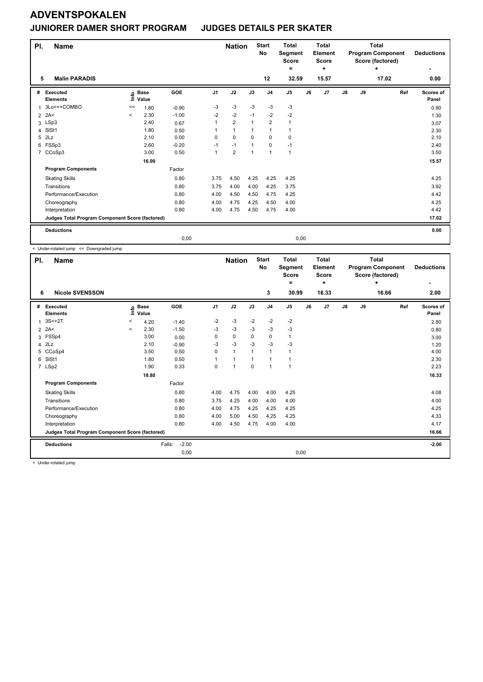### **JUNIORER DAMER SHORT PROGRAM JUDGES DETAILS PER SKATER**

| PI.            | <b>Name</b>                                     |                                  |                      |         | <b>Nation</b>  |                | <b>Start</b><br>No | <b>Total</b><br>Segment<br><b>Score</b><br>۰ |                | <b>Total</b><br><b>Element</b><br><b>Score</b><br>÷ |                |               | <b>Total</b><br><b>Program Component</b><br>Score (factored)<br>÷ | <b>Deductions</b> |                    |
|----------------|-------------------------------------------------|----------------------------------|----------------------|---------|----------------|----------------|--------------------|----------------------------------------------|----------------|-----------------------------------------------------|----------------|---------------|-------------------------------------------------------------------|-------------------|--------------------|
| 5              | <b>Malin PARADIS</b>                            |                                  |                      |         |                |                |                    | 12                                           | 32.59          |                                                     | 15.57          |               |                                                                   | 17.02             | 0.00               |
| #              | Executed<br><b>Elements</b>                     | $\mathop{\mathsf{Int}}\nolimits$ | <b>Base</b><br>Value | GOE     | J <sub>1</sub> | J2             | J3                 | J <sub>4</sub>                               | J <sub>5</sub> | J6                                                  | J <sub>7</sub> | $\mathsf{J}8$ | J9                                                                | Ref               | Scores of<br>Panel |
| 1              | 3Lo<<+COMBO                                     | <<                               | 1.80                 | $-0.90$ | -3             | $-3$           | $-3$               | $-3$                                         | $-3$           |                                                     |                |               |                                                                   |                   | 0.90               |
| $\overline{2}$ | 2A<                                             | $\prec$                          | 2.30                 | $-1.00$ | $-2$           | $-2$           | $-1$               | $-2$                                         | -2             |                                                     |                |               |                                                                   |                   | 1.30               |
|                | 3 LSp3                                          |                                  | 2.40                 | 0.67    | 1              | $\overline{2}$ | 1                  | $\overline{2}$                               | $\mathbf{1}$   |                                                     |                |               |                                                                   |                   | 3.07               |
| 4              | SISt1                                           |                                  | 1.80                 | 0.50    | $\mathbf{1}$   | $\mathbf{1}$   | 1                  | $\mathbf{1}$                                 | $\mathbf{1}$   |                                                     |                |               |                                                                   |                   | 2.30               |
| 5              | 2Lz                                             |                                  | 2.10                 | 0.00    | 0              | $\mathbf 0$    | $\mathbf 0$        | $\mathbf 0$                                  | $\pmb{0}$      |                                                     |                |               |                                                                   |                   | 2.10               |
|                | 6 FSSp3                                         |                                  | 2.60                 | $-0.20$ | $-1$           | $-1$           |                    | $\mathbf 0$                                  | $-1$           |                                                     |                |               |                                                                   |                   | 2.40               |
| $\overline{7}$ | CCoSp3                                          |                                  | 3.00                 | 0.50    | 1              | $\overline{2}$ | 1                  | $\mathbf{1}$                                 | $\mathbf{1}$   |                                                     |                |               |                                                                   |                   | 3.50               |
|                |                                                 |                                  | 16.00                |         |                |                |                    |                                              |                |                                                     |                |               |                                                                   |                   | 15.57              |
|                | <b>Program Components</b>                       |                                  |                      | Factor  |                |                |                    |                                              |                |                                                     |                |               |                                                                   |                   |                    |
|                | <b>Skating Skills</b>                           |                                  |                      | 0.80    | 3.75           | 4.50           | 4.25               | 4.25                                         | 4.25           |                                                     |                |               |                                                                   |                   | 4.25               |
|                | Transitions                                     |                                  |                      | 0.80    | 3.75           | 4.00           | 4.00               | 4.25                                         | 3.75           |                                                     |                |               |                                                                   |                   | 3.92               |
|                | Performance/Execution                           |                                  |                      | 0.80    | 4.00           | 4.50           | 4.50               | 4.75                                         | 4.25           |                                                     |                |               |                                                                   |                   | 4.42               |
|                | Choreography                                    |                                  |                      | 0.80    | 4.00           | 4.75           | 4.25               | 4.50                                         | 4.00           |                                                     |                |               |                                                                   |                   | 4.25               |
|                | Interpretation                                  |                                  |                      | 0.80    | 4.00           | 4.75           | 4.50               | 4.75                                         | 4.00           |                                                     |                |               |                                                                   |                   | 4.42               |
|                | Judges Total Program Component Score (factored) |                                  |                      |         |                |                |                    |                                              |                |                                                     |                |               |                                                                   |                   | 17.02              |
|                | <b>Deductions</b>                               |                                  |                      |         |                |                |                    |                                              |                |                                                     |                |               |                                                                   |                   | 0.00               |
|                |                                                 |                                  |                      | 0,00    |                |                |                    |                                              |                | 0,00                                                |                |               |                                                                   |                   |                    |

< Under-rotated jump << Downgraded jump

| PI.            | <b>Name</b>                                     |         |                      |                   |                | <b>Nation</b>  |             | <b>Start</b><br>No | <b>Total</b><br>Segment<br><b>Score</b><br>٠ |    | Total<br><b>Element</b><br><b>Score</b><br>٠ |               |    | <b>Total</b><br><b>Program Component</b><br>Score (factored)<br>٠ | <b>Deductions</b><br>۰ |
|----------------|-------------------------------------------------|---------|----------------------|-------------------|----------------|----------------|-------------|--------------------|----------------------------------------------|----|----------------------------------------------|---------------|----|-------------------------------------------------------------------|------------------------|
| 6              | <b>Nicole SVENSSON</b>                          |         |                      |                   |                |                |             | 3                  | 30.99                                        |    | 16.33                                        |               |    | 16.66                                                             | 2.00                   |
| #              | Executed<br><b>Elements</b>                     | lnfo    | <b>Base</b><br>Value | GOE               | J <sub>1</sub> | J2             | J3          | J <sub>4</sub>     | J <sub>5</sub>                               | J6 | J <sub>7</sub>                               | $\mathsf{J}8$ | J9 | Ref                                                               | Scores of<br>Panel     |
| 1              | $3S<+2T$                                        | $\,<$   | 4.20                 | $-1.40$           | $-2$           | $-3$           | $-2$        | $-2$               | $-2$                                         |    |                                              |               |    |                                                                   | 2.80                   |
| $\overline{2}$ | 2A<                                             | $\prec$ | 2.30                 | $-1.50$           | $-3$           | $-3$           | $-3$        | $-3$               | $-3$                                         |    |                                              |               |    |                                                                   | 0.80                   |
| 3              | FSSp4                                           |         | 3.00                 | 0.00              | 0              | $\pmb{0}$      | 0           | 0                  | $\mathbf{1}$                                 |    |                                              |               |    |                                                                   | 3.00                   |
| $\overline{4}$ | 2Lz                                             |         | 2.10                 | $-0.90$           | $-3$           | $-3$           | $-3$        | $-3$               | $-3$                                         |    |                                              |               |    |                                                                   | 1.20                   |
| 5              | CCoSp4                                          |         | 3.50                 | 0.50              | 0              | $\mathbf{1}$   |             | $\mathbf{1}$       | $\mathbf{1}$                                 |    |                                              |               |    |                                                                   | 4.00                   |
| 6              | SISt1                                           |         | 1.80                 | 0.50              | 1              | 1              |             | 1                  | 1                                            |    |                                              |               |    |                                                                   | 2.30                   |
|                | 7 LSp2                                          |         | 1.90                 | 0.33              | 0              | $\overline{1}$ | $\mathbf 0$ | $\mathbf{1}$       | $\mathbf{1}$                                 |    |                                              |               |    |                                                                   | 2.23                   |
|                |                                                 |         | 18.80                |                   |                |                |             |                    |                                              |    |                                              |               |    |                                                                   | 16.33                  |
|                | <b>Program Components</b>                       |         |                      | Factor            |                |                |             |                    |                                              |    |                                              |               |    |                                                                   |                        |
|                | <b>Skating Skills</b>                           |         |                      | 0.80              | 4.00           | 4.75           | 4.00        | 4.00               | 4.25                                         |    |                                              |               |    |                                                                   | 4.08                   |
|                | Transitions                                     |         |                      | 0.80              | 3.75           | 4.25           | 4.00        | 4.00               | 4.00                                         |    |                                              |               |    |                                                                   | 4.00                   |
|                | Performance/Execution                           |         |                      | 0.80              | 4.00           | 4.75           | 4.25        | 4.25               | 4.25                                         |    |                                              |               |    |                                                                   | 4.25                   |
|                | Choreography                                    |         |                      | 0.80              | 4.00           | 5.00           | 4.50        | 4.25               | 4.25                                         |    |                                              |               |    |                                                                   | 4.33                   |
|                | Interpretation                                  |         |                      | 0.80              | 4.00           | 4.50           | 4.75        | 4.00               | 4.00                                         |    |                                              |               |    |                                                                   | 4.17                   |
|                | Judges Total Program Component Score (factored) |         |                      |                   |                |                |             |                    |                                              |    |                                              |               |    |                                                                   | 16.66                  |
|                | <b>Deductions</b>                               |         |                      | $-2.00$<br>Falls: |                |                |             |                    |                                              |    |                                              |               |    |                                                                   | $-2.00$                |
|                |                                                 |         |                      | 0,00              |                |                |             |                    | 0,00                                         |    |                                              |               |    |                                                                   |                        |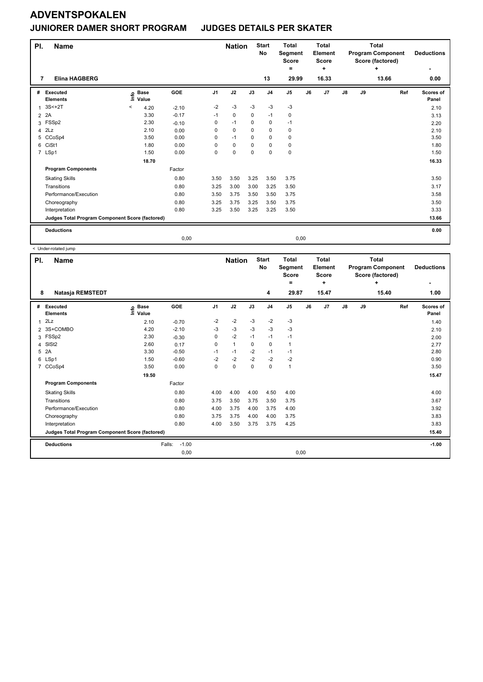### **JUNIORER DAMER SHORT PROGRAM JUDGES DETAILS PER SKATER**

| PI.<br><b>Name</b><br><b>Elina HAGBERG</b><br>7 |                                                 |         |                      |         |                | <b>Nation</b> |          | <b>Start</b><br>No | <b>Total</b><br>Segment<br>Score<br>۰ |      | <b>Total</b><br>Element<br><b>Score</b><br>÷ |               |    | <b>Total</b><br><b>Program Component</b><br>Score (factored)<br>÷ | <b>Deductions</b><br>٠ |
|-------------------------------------------------|-------------------------------------------------|---------|----------------------|---------|----------------|---------------|----------|--------------------|---------------------------------------|------|----------------------------------------------|---------------|----|-------------------------------------------------------------------|------------------------|
|                                                 |                                                 |         |                      |         |                |               |          | 13                 | 29.99                                 |      | 16.33                                        |               |    | 13.66                                                             | 0.00                   |
| #                                               | Executed<br><b>Elements</b>                     | Life    | <b>Base</b><br>Value | GOE     | J <sub>1</sub> | J2            | J3       | J <sub>4</sub>     | J <sub>5</sub>                        | J6   | J7                                           | $\mathsf{J}8$ | J9 | Ref                                                               | Scores of<br>Panel     |
| $\overline{1}$                                  | $3S<+2T$                                        | $\prec$ | 4.20                 | $-2.10$ | $-2$           | $-3$          | -3       | -3                 | $-3$                                  |      |                                              |               |    |                                                                   | 2.10                   |
| $\overline{2}$                                  | 2A                                              |         | 3.30                 | $-0.17$ | $-1$           | $\mathbf 0$   | 0        | $-1$               | 0                                     |      |                                              |               |    |                                                                   | 3.13                   |
| 3                                               | FSSp2                                           |         | 2.30                 | $-0.10$ | 0              | $-1$          | 0        | $\mathbf 0$        | $-1$                                  |      |                                              |               |    |                                                                   | 2.20                   |
| 4                                               | 2Lz                                             |         | 2.10                 | 0.00    | 0              | $\pmb{0}$     | 0        | $\mathbf 0$        | $\pmb{0}$                             |      |                                              |               |    |                                                                   | 2.10                   |
| 5                                               | CCoSp4                                          |         | 3.50                 | 0.00    | 0              | $-1$          | 0        | $\mathbf 0$        | 0                                     |      |                                              |               |    |                                                                   | 3.50                   |
| 6                                               | CiSt1                                           |         | 1.80                 | 0.00    | $\Omega$       | $\mathbf 0$   | $\Omega$ | $\mathbf 0$        | $\mathbf 0$                           |      |                                              |               |    |                                                                   | 1.80                   |
|                                                 | 7 LSp1                                          |         | 1.50                 | 0.00    | 0              | $\mathbf 0$   | $\Omega$ | $\mathbf 0$        | $\mathbf 0$                           |      |                                              |               |    |                                                                   | 1.50                   |
|                                                 |                                                 |         | 18.70                |         |                |               |          |                    |                                       |      |                                              |               |    |                                                                   | 16.33                  |
|                                                 | <b>Program Components</b>                       |         |                      | Factor  |                |               |          |                    |                                       |      |                                              |               |    |                                                                   |                        |
|                                                 | <b>Skating Skills</b>                           |         |                      | 0.80    | 3.50           | 3.50          | 3.25     | 3.50               | 3.75                                  |      |                                              |               |    |                                                                   | 3.50                   |
|                                                 | Transitions                                     |         |                      | 0.80    | 3.25           | 3.00          | 3.00     | 3.25               | 3.50                                  |      |                                              |               |    |                                                                   | 3.17                   |
|                                                 | Performance/Execution                           |         |                      | 0.80    | 3.50           | 3.75          | 3.50     | 3.50               | 3.75                                  |      |                                              |               |    |                                                                   | 3.58                   |
|                                                 | Choreography                                    |         |                      | 0.80    | 3.25           | 3.75          | 3.25     | 3.50               | 3.75                                  |      |                                              |               |    |                                                                   | 3.50                   |
|                                                 | Interpretation                                  |         |                      | 0.80    | 3.25           | 3.50          | 3.25     | 3.25               | 3.50                                  |      |                                              |               |    |                                                                   | 3.33                   |
|                                                 | Judges Total Program Component Score (factored) |         |                      |         |                |               |          |                    |                                       |      |                                              |               |    |                                                                   | 13.66                  |
|                                                 | <b>Deductions</b>                               |         |                      |         |                |               |          |                    |                                       |      |                                              |               |    |                                                                   | 0.00                   |
|                                                 |                                                 |         |                      | 0,00    |                |               |          |                    |                                       | 0,00 |                                              |               |    |                                                                   |                        |

| PI.            | Name                                            |                              |                   |                | <b>Nation</b> |      | <b>Start</b><br><b>No</b> | <b>Total</b><br>Segment<br><b>Score</b><br>٠ |    | <b>Total</b><br>Element<br><b>Score</b><br>٠ |               |    | <b>Total</b><br><b>Program Component</b><br>Score (factored)<br>٠ | <b>Deductions</b>         |
|----------------|-------------------------------------------------|------------------------------|-------------------|----------------|---------------|------|---------------------------|----------------------------------------------|----|----------------------------------------------|---------------|----|-------------------------------------------------------------------|---------------------------|
| 8              | Natasja REMSTEDT                                |                              |                   |                |               |      | 4                         | 29.87                                        |    | 15.47                                        |               |    | 15.40                                                             | 1.00                      |
| #              | <b>Executed</b><br><b>Elements</b>              | <b>Base</b><br>١nf٥<br>Value | GOE               | J <sub>1</sub> | J2            | J3   | J <sub>4</sub>            | J5                                           | J6 | J7                                           | $\mathsf{J}8$ | J9 | Ref                                                               | <b>Scores of</b><br>Panel |
| 1              | 2Lz                                             | 2.10                         | $-0.70$           | $-2$           | $-2$          | $-3$ | $-2$                      | $-3$                                         |    |                                              |               |    |                                                                   | 1.40                      |
|                | 2 3S+COMBO                                      | 4.20                         | $-2.10$           | $-3$           | $-3$          | $-3$ | $-3$                      | $-3$                                         |    |                                              |               |    |                                                                   | 2.10                      |
| 3              | FSSp2                                           | 2.30                         | $-0.30$           | 0              | $-2$          | $-1$ | $-1$                      | $-1$                                         |    |                                              |               |    |                                                                   | 2.00                      |
| 4              | SISt <sub>2</sub>                               | 2.60                         | 0.17              | 0              | $\mathbf{1}$  | 0    | $\mathbf 0$               | $\mathbf{1}$                                 |    |                                              |               |    |                                                                   | 2.77                      |
| 5              | 2A                                              | 3.30                         | $-0.50$           | $-1$           | $-1$          | $-2$ | $-1$                      | $-1$                                         |    |                                              |               |    |                                                                   | 2.80                      |
| 6              | LSp1                                            | 1.50                         | $-0.60$           | $-2$           | $-2$          | $-2$ | $-2$                      | $-2$                                         |    |                                              |               |    |                                                                   | 0.90                      |
| $\overline{7}$ | CCoSp4                                          | 3.50                         | 0.00              | 0              | $\mathbf 0$   | 0    | 0                         | $\mathbf{1}$                                 |    |                                              |               |    |                                                                   | 3.50                      |
|                |                                                 | 19.50                        |                   |                |               |      |                           |                                              |    |                                              |               |    |                                                                   | 15.47                     |
|                | <b>Program Components</b>                       |                              | Factor            |                |               |      |                           |                                              |    |                                              |               |    |                                                                   |                           |
|                | <b>Skating Skills</b>                           |                              | 0.80              | 4.00           | 4.00          | 4.00 | 4.50                      | 4.00                                         |    |                                              |               |    |                                                                   | 4.00                      |
|                | Transitions                                     |                              | 0.80              | 3.75           | 3.50          | 3.75 | 3.50                      | 3.75                                         |    |                                              |               |    |                                                                   | 3.67                      |
|                | Performance/Execution                           |                              | 0.80              | 4.00           | 3.75          | 4.00 | 3.75                      | 4.00                                         |    |                                              |               |    |                                                                   | 3.92                      |
|                | Choreography                                    |                              | 0.80              | 3.75           | 3.75          | 4.00 | 4.00                      | 3.75                                         |    |                                              |               |    |                                                                   | 3.83                      |
|                | Interpretation                                  |                              | 0.80              | 4.00           | 3.50          | 3.75 | 3.75                      | 4.25                                         |    |                                              |               |    |                                                                   | 3.83                      |
|                | Judges Total Program Component Score (factored) |                              |                   |                |               |      |                           |                                              |    |                                              |               |    |                                                                   | 15.40                     |
|                | <b>Deductions</b>                               |                              | $-1.00$<br>Falls: |                |               |      |                           |                                              |    |                                              |               |    |                                                                   | $-1.00$                   |
|                |                                                 |                              | 0,00              |                |               |      |                           | 0,00                                         |    |                                              |               |    |                                                                   |                           |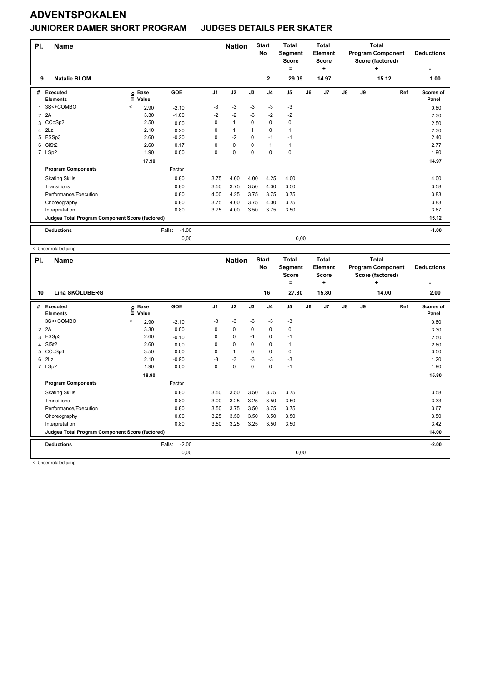### **ADVENTSPOKALEN JUNIORER DAMER SHORT PROGRAM JUDGES DETAILS PER SKATER**

| PI.<br>9       | <b>Name</b><br><b>Natalie BLOM</b>              |         |                                                    |                   |                | <b>Nation</b> |             | <b>Start</b><br>No<br>$\mathbf{2}$ | <b>Total</b><br>Segment<br><b>Score</b><br>$\equiv$<br>29.09 |    | <b>Total</b><br>Element<br><b>Score</b><br>÷<br>14.97 |    |    | <b>Total</b><br><b>Program Component</b><br>Score (factored)<br>÷<br>15.12 | <b>Deductions</b><br>1.00 |
|----------------|-------------------------------------------------|---------|----------------------------------------------------|-------------------|----------------|---------------|-------------|------------------------------------|--------------------------------------------------------------|----|-------------------------------------------------------|----|----|----------------------------------------------------------------------------|---------------------------|
| #              | <b>Executed</b><br><b>Elements</b>              |         | $\frac{e}{2}$ Base<br>$\frac{e}{2}$ Value<br>Value | GOE               | J <sub>1</sub> | J2            | J3          | J <sub>4</sub>                     | J <sub>5</sub>                                               | J6 | J <sub>7</sub>                                        | J8 | J9 | Ref                                                                        | Scores of<br>Panel        |
| 1              | 3S<+COMBO                                       | $\,<\,$ | 2.90                                               | $-2.10$           | -3             | $-3$          | $-3$        | $-3$                               | $-3$                                                         |    |                                                       |    |    |                                                                            | 0.80                      |
| $\overline{2}$ | 2A                                              |         | 3.30                                               | $-1.00$           | $-2$           | $-2$          | -3          | $-2$                               | $-2$                                                         |    |                                                       |    |    |                                                                            | 2.30                      |
|                | 3 CCoSp2                                        |         | 2.50                                               | 0.00              | $\Omega$       | $\mathbf{1}$  | $\Omega$    | $\mathbf 0$                        | 0                                                            |    |                                                       |    |    |                                                                            | 2.50                      |
| 4              | 2Lz                                             |         | 2.10                                               | 0.20              | $\Omega$       | $\mathbf{1}$  | 1           | $\Omega$                           | 1                                                            |    |                                                       |    |    |                                                                            | 2.30                      |
| 5              | FSSp3                                           |         | 2.60                                               | $-0.20$           | 0              | $-2$          | $\mathbf 0$ | $-1$                               | $-1$                                                         |    |                                                       |    |    |                                                                            | 2.40                      |
| 6              | CiSt <sub>2</sub>                               |         | 2.60                                               | 0.17              | $\Omega$       | 0             | 0           | $\mathbf{1}$                       | 1                                                            |    |                                                       |    |    |                                                                            | 2.77                      |
|                | 7 LSp2                                          |         | 1.90                                               | 0.00              | 0              | $\mathbf 0$   | $\Omega$    | $\mathbf 0$                        | 0                                                            |    |                                                       |    |    |                                                                            | 1.90                      |
|                |                                                 |         | 17.90                                              |                   |                |               |             |                                    |                                                              |    |                                                       |    |    |                                                                            | 14.97                     |
|                | <b>Program Components</b>                       |         |                                                    | Factor            |                |               |             |                                    |                                                              |    |                                                       |    |    |                                                                            |                           |
|                | <b>Skating Skills</b>                           |         |                                                    | 0.80              | 3.75           | 4.00          | 4.00        | 4.25                               | 4.00                                                         |    |                                                       |    |    |                                                                            | 4.00                      |
|                | Transitions                                     |         |                                                    | 0.80              | 3.50           | 3.75          | 3.50        | 4.00                               | 3.50                                                         |    |                                                       |    |    |                                                                            | 3.58                      |
|                | Performance/Execution                           |         |                                                    | 0.80              | 4.00           | 4.25          | 3.75        | 3.75                               | 3.75                                                         |    |                                                       |    |    |                                                                            | 3.83                      |
|                | Choreography                                    |         |                                                    | 0.80              | 3.75           | 4.00          | 3.75        | 4.00                               | 3.75                                                         |    |                                                       |    |    |                                                                            | 3.83                      |
|                | Interpretation                                  |         |                                                    | 0.80              | 3.75           | 4.00          | 3.50        | 3.75                               | 3.50                                                         |    |                                                       |    |    |                                                                            | 3.67                      |
|                | Judges Total Program Component Score (factored) |         |                                                    |                   |                |               |             |                                    |                                                              |    |                                                       |    |    |                                                                            | 15.12                     |
|                | <b>Deductions</b>                               |         |                                                    | $-1.00$<br>Falls: |                |               |             |                                    |                                                              |    |                                                       |    |    |                                                                            | $-1.00$                   |
|                |                                                 |         |                                                    | 0,00              |                |               |             |                                    | 0,00                                                         |    |                                                       |    |    |                                                                            |                           |

< Under-rotated jump

| PI.            | Name                                            |                              |                   |                | <b>Nation</b> |             | <b>Start</b><br>No | <b>Total</b><br>Segment<br><b>Score</b><br>۰ |    | <b>Total</b><br>Element<br><b>Score</b><br>٠ |    |    | <b>Total</b><br><b>Program Component</b><br>Score (factored)<br>÷ | <b>Deductions</b>  |
|----------------|-------------------------------------------------|------------------------------|-------------------|----------------|---------------|-------------|--------------------|----------------------------------------------|----|----------------------------------------------|----|----|-------------------------------------------------------------------|--------------------|
| 10             | Lina SKÖLDBERG                                  |                              |                   |                |               |             | 16                 | 27.80                                        |    | 15.80                                        |    |    | 14.00                                                             | 2.00               |
| #              | Executed<br><b>Elements</b>                     | <b>Base</b><br>١nf٥<br>Value | GOE               | J <sub>1</sub> | J2            | J3          | J <sub>4</sub>     | J <sub>5</sub>                               | J6 | J <sub>7</sub>                               | J8 | J9 | Ref                                                               | Scores of<br>Panel |
| 1              | 3S<+COMBO                                       | $\,<\,$<br>2.90              | $-2.10$           | $-3$           | $-3$          | $-3$        | $-3$               | $-3$                                         |    |                                              |    |    |                                                                   | 0.80               |
| $\overline{2}$ | 2A                                              | 3.30                         | 0.00              | 0              | $\mathbf 0$   | $\mathbf 0$ | $\mathbf 0$        | $\pmb{0}$                                    |    |                                              |    |    |                                                                   | 3.30               |
| 3              | FSSp3                                           | 2.60                         | $-0.10$           | 0              | $\mathbf 0$   | $-1$        | $\mathbf 0$        | $-1$                                         |    |                                              |    |    |                                                                   | 2.50               |
| 4              | SISt <sub>2</sub>                               | 2.60                         | 0.00              | 0              | $\mathbf 0$   | 0           | 0                  | $\mathbf{1}$                                 |    |                                              |    |    |                                                                   | 2.60               |
| 5              | CCoSp4                                          | 3.50                         | 0.00              | 0              | $\mathbf{1}$  | $\Omega$    | 0                  | 0                                            |    |                                              |    |    |                                                                   | 3.50               |
| 6              | 2Lz                                             | 2.10                         | $-0.90$           | -3             | $-3$          | $-3$        | $-3$               | $-3$                                         |    |                                              |    |    |                                                                   | 1.20               |
|                | 7 LSp2                                          | 1.90                         | 0.00              | $\Omega$       | $\mathbf 0$   | $\mathbf 0$ | $\mathbf 0$        | $-1$                                         |    |                                              |    |    |                                                                   | 1.90               |
|                |                                                 | 18.90                        |                   |                |               |             |                    |                                              |    |                                              |    |    |                                                                   | 15.80              |
|                | <b>Program Components</b>                       |                              | Factor            |                |               |             |                    |                                              |    |                                              |    |    |                                                                   |                    |
|                | <b>Skating Skills</b>                           |                              | 0.80              | 3.50           | 3.50          | 3.50        | 3.75               | 3.75                                         |    |                                              |    |    |                                                                   | 3.58               |
|                | Transitions                                     |                              | 0.80              | 3.00           | 3.25          | 3.25        | 3.50               | 3.50                                         |    |                                              |    |    |                                                                   | 3.33               |
|                | Performance/Execution                           |                              | 0.80              | 3.50           | 3.75          | 3.50        | 3.75               | 3.75                                         |    |                                              |    |    |                                                                   | 3.67               |
|                | Choreography                                    |                              | 0.80              | 3.25           | 3.50          | 3.50        | 3.50               | 3.50                                         |    |                                              |    |    |                                                                   | 3.50               |
|                | Interpretation                                  |                              | 0.80              | 3.50           | 3.25          | 3.25        | 3.50               | 3.50                                         |    |                                              |    |    |                                                                   | 3.42               |
|                | Judges Total Program Component Score (factored) |                              |                   |                |               |             |                    |                                              |    |                                              |    |    |                                                                   | 14.00              |
|                | <b>Deductions</b>                               |                              | $-2.00$<br>Falls: |                |               |             |                    |                                              |    |                                              |    |    |                                                                   | $-2.00$            |
|                |                                                 |                              | 0,00              |                |               |             |                    | 0,00                                         |    |                                              |    |    |                                                                   |                    |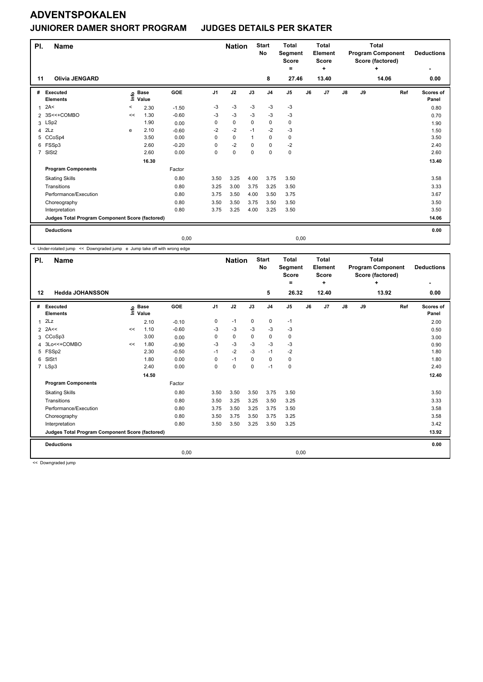#### **JUNIORER DAMER SHORT PROGRAM JUDGES DETAILS PER SKATER**

| PI.            | <b>Name</b>                                     |                                  |                      |            |                | <b>Nation</b> |             | <b>Start</b><br>No | <b>Total</b><br>Segment<br><b>Score</b><br>۰ |      | <b>Total</b><br>Element<br><b>Score</b><br>÷ |               |    | <b>Total</b><br><b>Program Component</b><br>Score (factored)<br>÷ | <b>Deductions</b>         |
|----------------|-------------------------------------------------|----------------------------------|----------------------|------------|----------------|---------------|-------------|--------------------|----------------------------------------------|------|----------------------------------------------|---------------|----|-------------------------------------------------------------------|---------------------------|
| 11             | <b>Olivia JENGARD</b>                           |                                  |                      |            |                |               |             | 8                  | 27.46                                        |      | 13.40                                        |               |    | 14.06                                                             | 0.00                      |
| #              | Executed<br><b>Elements</b>                     | $\mathop{\mathsf{Int}}\nolimits$ | <b>Base</b><br>Value | <b>GOE</b> | J <sub>1</sub> | J2            | J3          | J <sub>4</sub>     | J <sub>5</sub>                               | J6   | J7                                           | $\mathsf{J}8$ | J9 | Ref                                                               | <b>Scores of</b><br>Panel |
| 1              | 2A<                                             | $\,<$                            | 2.30                 | $-1.50$    | $-3$           | $-3$          | $-3$        | $-3$               | $-3$                                         |      |                                              |               |    |                                                                   | 0.80                      |
| 2              | 3S<<+COMBO                                      | <<                               | 1.30                 | $-0.60$    | -3             | $-3$          | $-3$        | $-3$               | $-3$                                         |      |                                              |               |    |                                                                   | 0.70                      |
|                | 3 LSp2                                          |                                  | 1.90                 | 0.00       | 0              | $\mathbf 0$   | $\mathbf 0$ | $\mathbf 0$        | 0                                            |      |                                              |               |    |                                                                   | 1.90                      |
| 4              | 2Lz                                             | e                                | 2.10                 | $-0.60$    | $-2$           | $-2$          | $-1$        | $-2$               | $-3$                                         |      |                                              |               |    |                                                                   | 1.50                      |
| 5              | CCoSp4                                          |                                  | 3.50                 | 0.00       | 0              | $\mathbf 0$   |             | $\mathbf 0$        | 0                                            |      |                                              |               |    |                                                                   | 3.50                      |
| 6              | FSSp3                                           |                                  | 2.60                 | $-0.20$    | 0              | $-2$          | $\mathbf 0$ | $\mathbf 0$        | $-2$                                         |      |                                              |               |    |                                                                   | 2.40                      |
| $\overline{7}$ | SISt <sub>2</sub>                               |                                  | 2.60                 | 0.00       | 0              | $\pmb{0}$     | $\mathbf 0$ | $\mathbf 0$        | $\pmb{0}$                                    |      |                                              |               |    |                                                                   | 2.60                      |
|                |                                                 |                                  | 16.30                |            |                |               |             |                    |                                              |      |                                              |               |    |                                                                   | 13.40                     |
|                | <b>Program Components</b>                       |                                  |                      | Factor     |                |               |             |                    |                                              |      |                                              |               |    |                                                                   |                           |
|                | <b>Skating Skills</b>                           |                                  |                      | 0.80       | 3.50           | 3.25          | 4.00        | 3.75               | 3.50                                         |      |                                              |               |    |                                                                   | 3.58                      |
|                | Transitions                                     |                                  |                      | 0.80       | 3.25           | 3.00          | 3.75        | 3.25               | 3.50                                         |      |                                              |               |    |                                                                   | 3.33                      |
|                | Performance/Execution                           |                                  |                      | 0.80       | 3.75           | 3.50          | 4.00        | 3.50               | 3.75                                         |      |                                              |               |    |                                                                   | 3.67                      |
|                | Choreography                                    |                                  |                      | 0.80       | 3.50           | 3.50          | 3.75        | 3.50               | 3.50                                         |      |                                              |               |    |                                                                   | 3.50                      |
|                | Interpretation                                  |                                  |                      | 0.80       | 3.75           | 3.25          | 4.00        | 3.25               | 3.50                                         |      |                                              |               |    |                                                                   | 3.50                      |
|                | Judges Total Program Component Score (factored) |                                  |                      |            |                |               |             |                    |                                              |      |                                              |               |    |                                                                   | 14.06                     |
|                | <b>Deductions</b>                               |                                  |                      |            |                |               |             |                    |                                              |      |                                              |               |    |                                                                   | 0.00                      |
|                |                                                 |                                  |                      | 0,00       |                |               |             |                    |                                              | 0,00 |                                              |               |    |                                                                   |                           |

< Under-rotated jump << Downgraded jump e Jump take off with wrong edge

| PI.            | <b>Name</b>                                     |      |                      |         | <b>Nation</b>  |             | <b>Start</b><br><b>No</b> | <b>Total</b><br>Segment<br><b>Score</b><br>= |             | <b>Total</b><br>Element<br><b>Score</b><br>٠ |                |               | <b>Total</b><br><b>Program Component</b><br>Score (factored)<br>÷ | <b>Deductions</b> |                    |
|----------------|-------------------------------------------------|------|----------------------|---------|----------------|-------------|---------------------------|----------------------------------------------|-------------|----------------------------------------------|----------------|---------------|-------------------------------------------------------------------|-------------------|--------------------|
| 12             | <b>Hedda JOHANSSON</b>                          |      |                      |         |                |             |                           | 5                                            | 26.32       |                                              | 12.40          |               |                                                                   | 13.92             | 0.00               |
| #              | Executed<br><b>Elements</b>                     | ١nfo | <b>Base</b><br>Value | GOE     | J <sub>1</sub> | J2          | J3                        | J <sub>4</sub>                               | J5          | J6                                           | J <sub>7</sub> | $\mathsf{J}8$ | J9                                                                | Ref               | Scores of<br>Panel |
| $\overline{1}$ | 2Lz                                             |      | 2.10                 | $-0.10$ | 0              | $-1$        | 0                         | 0                                            | $-1$        |                                              |                |               |                                                                   |                   | 2.00               |
| $\overline{2}$ | 2A<<                                            | <<   | 1.10                 | $-0.60$ | -3             | $-3$        | -3                        | -3                                           | $-3$        |                                              |                |               |                                                                   |                   | 0.50               |
| 3              | CCoSp3                                          |      | 3.00                 | 0.00    | 0              | $\mathbf 0$ | 0                         | $\pmb{0}$                                    | $\pmb{0}$   |                                              |                |               |                                                                   |                   | 3.00               |
| 4              | 3Lo<<+COMBO                                     | <<   | 1.80                 | $-0.90$ | $-3$           | $-3$        | $-3$                      | $-3$                                         | $-3$        |                                              |                |               |                                                                   |                   | 0.90               |
| 5              | FSSp2                                           |      | 2.30                 | $-0.50$ | $-1$           | $-2$        | $-3$                      | $-1$                                         | $-2$        |                                              |                |               |                                                                   |                   | 1.80               |
| 6              | SISt1                                           |      | 1.80                 | 0.00    | 0              | $-1$        | 0                         | $\mathbf 0$                                  | $\pmb{0}$   |                                              |                |               |                                                                   |                   | 1.80               |
|                | 7 LSp3                                          |      | 2.40                 | 0.00    | 0              | $\mathbf 0$ | $\Omega$                  | $-1$                                         | $\mathbf 0$ |                                              |                |               |                                                                   |                   | 2.40               |
|                |                                                 |      | 14.50                |         |                |             |                           |                                              |             |                                              |                |               |                                                                   |                   | 12.40              |
|                | <b>Program Components</b>                       |      |                      | Factor  |                |             |                           |                                              |             |                                              |                |               |                                                                   |                   |                    |
|                | <b>Skating Skills</b>                           |      |                      | 0.80    | 3.50           | 3.50        | 3.50                      | 3.75                                         | 3.50        |                                              |                |               |                                                                   |                   | 3.50               |
|                | Transitions                                     |      |                      | 0.80    | 3.50           | 3.25        | 3.25                      | 3.50                                         | 3.25        |                                              |                |               |                                                                   |                   | 3.33               |
|                | Performance/Execution                           |      |                      | 0.80    | 3.75           | 3.50        | 3.25                      | 3.75                                         | 3.50        |                                              |                |               |                                                                   |                   | 3.58               |
|                | Choreography                                    |      |                      | 0.80    | 3.50           | 3.75        | 3.50                      | 3.75                                         | 3.25        |                                              |                |               |                                                                   |                   | 3.58               |
|                | Interpretation                                  |      |                      | 0.80    | 3.50           | 3.50        | 3.25                      | 3.50                                         | 3.25        |                                              |                |               |                                                                   |                   | 3.42               |
|                | Judges Total Program Component Score (factored) |      |                      |         |                |             |                           |                                              |             |                                              |                |               |                                                                   |                   | 13.92              |
|                | <b>Deductions</b>                               |      |                      |         |                |             |                           |                                              |             |                                              |                |               |                                                                   |                   | 0.00               |
|                |                                                 |      |                      | 0,00    |                |             |                           |                                              | 0,00        |                                              |                |               |                                                                   |                   |                    |

<< Downgraded jump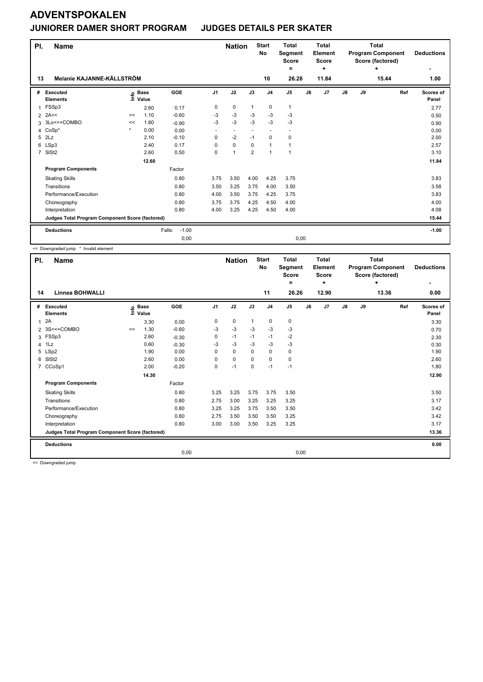### **JUNIORER DAMER SHORT PROGRAM JUDGES DETAILS PER SKATER**

| PI.                                             | <b>Name</b>                 |                            |       |                   |                | <b>Nation</b>            |                | <b>Start</b><br><b>No</b> | <b>Total</b><br>Segment<br><b>Score</b><br>Ξ. |    | <b>Total</b><br>Element<br><b>Score</b><br>÷ |               |       | <b>Total</b><br><b>Program Component</b><br>Score (factored)<br>÷ | <b>Deductions</b>  |
|-------------------------------------------------|-----------------------------|----------------------------|-------|-------------------|----------------|--------------------------|----------------|---------------------------|-----------------------------------------------|----|----------------------------------------------|---------------|-------|-------------------------------------------------------------------|--------------------|
| 13                                              | Melanie KAJANNE-KÄLLSTRÖM   |                            |       |                   | 10             | 26.28                    |                | 11.84                     |                                               |    | 15.44                                        | 1.00          |       |                                                                   |                    |
| #                                               | Executed<br><b>Elements</b> | e Base<br>E Value<br>Value |       | <b>GOE</b>        | J <sub>1</sub> | J2                       | J3             | J <sub>4</sub>            | J <sub>5</sub>                                | J6 | J <sub>7</sub>                               | $\mathsf{J}8$ | J9    | Ref                                                               | Scores of<br>Panel |
| $\mathbf 1$                                     | FSSp3                       |                            | 2.60  | 0.17              | 0              | $\pmb{0}$                | $\mathbf{1}$   | $\pmb{0}$                 | 1                                             |    |                                              |               |       |                                                                   | 2.77               |
| 2                                               | 2A<<                        | <<                         | 1.10  | $-0.60$           | $-3$           | $-3$                     | $-3$           | $-3$                      | $-3$                                          |    |                                              |               |       |                                                                   | 0.50               |
| 3                                               | 3Lo<<+COMBO                 | <<                         | 1.80  | $-0.90$           | $-3$           | $-3$                     | $-3$           | $-3$                      | $-3$                                          |    |                                              |               |       |                                                                   | 0.90               |
| 4                                               | $CoSp*$                     | $\star$                    | 0.00  | 0.00              | ٠              | $\overline{\phantom{a}}$ |                | $\overline{\phantom{a}}$  |                                               |    |                                              |               |       |                                                                   | 0.00               |
| 5                                               | 2Lz                         |                            | 2.10  | $-0.10$           | 0              | $-2$                     | $-1$           | $\mathbf 0$               | $\mathbf 0$                                   |    |                                              |               |       |                                                                   | 2.00               |
|                                                 | 6 LSp3                      |                            | 2.40  | 0.17              | $\Omega$       | $\mathbf 0$              | $\Omega$       | $\mathbf{1}$              | 1                                             |    |                                              |               |       |                                                                   | 2.57               |
| $\overline{7}$                                  | SISt <sub>2</sub>           |                            | 2.60  | 0.50              | 0              | $\overline{1}$           | $\overline{2}$ | $\mathbf{1}$              | 1                                             |    |                                              |               |       |                                                                   | 3.10               |
|                                                 |                             |                            | 12.60 |                   |                |                          |                |                           |                                               |    |                                              |               |       |                                                                   | 11.84              |
|                                                 | <b>Program Components</b>   |                            |       | Factor            |                |                          |                |                           |                                               |    |                                              |               |       |                                                                   |                    |
|                                                 | <b>Skating Skills</b>       |                            |       | 0.80              | 3.75           | 3.50                     | 4.00           | 4.25                      | 3.75                                          |    |                                              |               |       |                                                                   | 3.83               |
|                                                 | Transitions                 |                            |       | 0.80              | 3.50           | 3.25                     | 3.75           | 4.00                      | 3.50                                          |    |                                              |               |       |                                                                   | 3.58               |
|                                                 | Performance/Execution       |                            |       | 0.80              | 4.00           | 3.50                     | 3.75           | 4.25                      | 3.75                                          |    |                                              |               |       |                                                                   | 3.83               |
|                                                 | Choreography                |                            |       | 0.80              | 3.75           | 3.75                     | 4.25           | 4.50                      | 4.00                                          |    |                                              |               |       |                                                                   | 4.00               |
|                                                 | Interpretation              |                            |       | 0.80              | 4.00           | 3.25                     | 4.25           | 4.50                      | 4.00                                          |    |                                              |               |       |                                                                   | 4.08               |
| Judges Total Program Component Score (factored) |                             |                            |       |                   |                |                          |                |                           |                                               |    |                                              |               | 15.44 |                                                                   |                    |
|                                                 | <b>Deductions</b>           |                            |       | Falls:<br>$-1.00$ |                |                          |                |                           |                                               |    |                                              |               |       |                                                                   | $-1.00$            |
|                                                 |                             |                            |       | 0,00              |                |                          |                |                           | 0,00                                          |    |                                              |               |       |                                                                   |                    |

<< Downgraded jump \* Invalid element

| PI.            | <b>Name</b>                                     |      |                      | <b>Start</b><br><b>Nation</b><br>No |                | <b>Total</b><br>Segment<br><b>Score</b><br>٠ |              | <b>Total</b><br>Element<br><b>Score</b><br>٠ |                | <b>Total</b><br><b>Program Component</b><br>Score (factored) | <b>Deductions</b><br>٠ |               |    |            |                    |
|----------------|-------------------------------------------------|------|----------------------|-------------------------------------|----------------|----------------------------------------------|--------------|----------------------------------------------|----------------|--------------------------------------------------------------|------------------------|---------------|----|------------|--------------------|
| 14             | <b>Linnea BOHWALLI</b>                          |      |                      |                                     |                |                                              |              | 11                                           | 26.26          |                                                              | 12.90                  |               |    | ٠<br>13.36 | 0.00               |
| #              | Executed<br><b>Elements</b>                     | ١nfo | <b>Base</b><br>Value | GOE                                 | J <sub>1</sub> | J2                                           | J3           | J <sub>4</sub>                               | J <sub>5</sub> | J6                                                           | J7                     | $\mathsf{J}8$ | J9 | Ref        | Scores of<br>Panel |
| $\mathbf{1}$   | 2A                                              |      | 3.30                 | 0.00                                | 0              | 0                                            | $\mathbf{1}$ | 0                                            | 0              |                                                              |                        |               |    |            | 3.30               |
|                | 2 3S<<+COMBO                                    | <<   | 1.30                 | $-0.60$                             | -3             | $-3$                                         | -3           | -3                                           | $-3$           |                                                              |                        |               |    |            | 0.70               |
|                | 3 FSSp3                                         |      | 2.60                 | $-0.30$                             | 0              | $-1$                                         | $-1$         | $-1$                                         | $-2$           |                                                              |                        |               |    |            | 2.30               |
| $\overline{4}$ | 1Lz                                             |      | 0.60                 | $-0.30$                             | -3             | $-3$                                         | -3           | $-3$                                         | $-3$           |                                                              |                        |               |    |            | 0.30               |
| 5              | LSp2                                            |      | 1.90                 | 0.00                                | 0              | $\mathbf 0$                                  | $\Omega$     | $\pmb{0}$                                    | 0              |                                                              |                        |               |    |            | 1.90               |
| 6              | SISt <sub>2</sub>                               |      | 2.60                 | 0.00                                | 0              | $\mathbf 0$                                  | $\Omega$     | $\mathbf 0$                                  | $\pmb{0}$      |                                                              |                        |               |    |            | 2.60               |
|                | 7 CCoSp1                                        |      | 2.00                 | $-0.20$                             | 0              | $-1$                                         | $\mathbf 0$  | $-1$                                         | $-1$           |                                                              |                        |               |    |            | 1.80               |
|                |                                                 |      | 14.30                |                                     |                |                                              |              |                                              |                |                                                              |                        |               |    |            | 12.90              |
|                | <b>Program Components</b>                       |      |                      | Factor                              |                |                                              |              |                                              |                |                                                              |                        |               |    |            |                    |
|                | <b>Skating Skills</b>                           |      |                      | 0.80                                | 3.25           | 3.25                                         | 3.75         | 3.75                                         | 3.50           |                                                              |                        |               |    |            | 3.50               |
|                | Transitions                                     |      |                      | 0.80                                | 2.75           | 3.00                                         | 3.25         | 3.25                                         | 3.25           |                                                              |                        |               |    |            | 3.17               |
|                | Performance/Execution                           |      |                      | 0.80                                | 3.25           | 3.25                                         | 3.75         | 3.50                                         | 3.50           |                                                              |                        |               |    |            | 3.42               |
|                | Choreography                                    |      |                      | 0.80                                | 2.75           | 3.50                                         | 3.50         | 3.50                                         | 3.25           |                                                              |                        |               |    |            | 3.42               |
|                | Interpretation                                  |      |                      | 0.80                                | 3.00           | 3.00                                         | 3.50         | 3.25                                         | 3.25           |                                                              |                        |               |    |            | 3.17               |
|                | Judges Total Program Component Score (factored) |      |                      |                                     |                |                                              |              |                                              |                |                                                              |                        | 13.36         |    |            |                    |
|                | <b>Deductions</b>                               |      |                      |                                     |                |                                              |              |                                              |                |                                                              |                        |               |    |            | 0.00               |
|                |                                                 |      |                      | 0,00                                |                |                                              |              |                                              | 0,00           |                                                              |                        |               |    |            |                    |

<< Downgraded jump